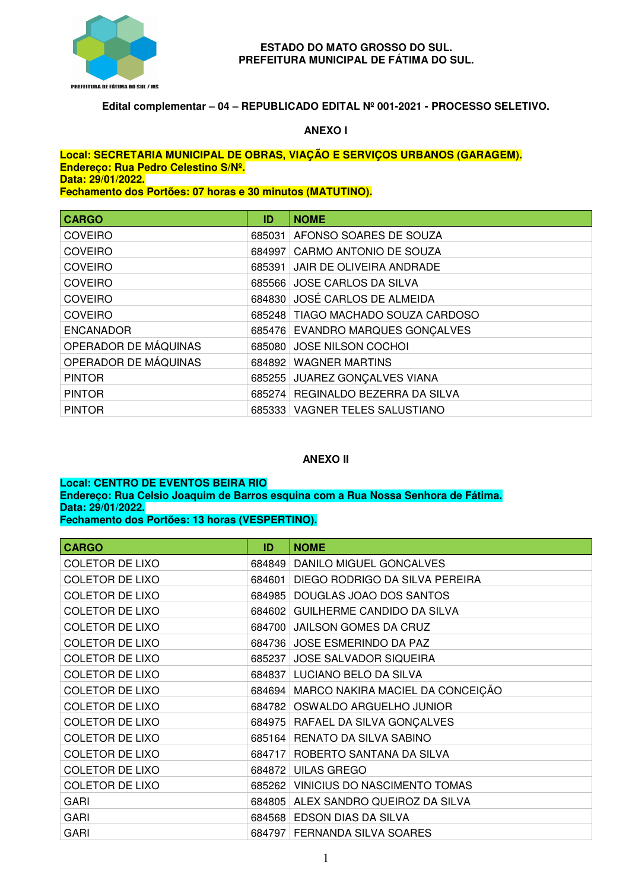

#### **ESTADO DO MATO GROSSO DO SUL. PREFEITURA MUNICIPAL DE FÁTIMA DO SUL.**

## **Edital complementar – 04 – REPUBLICADO EDITAL Nº 001-2021 - PROCESSO SELETIVO.**

## **ANEXO I**

#### **Local: SECRETARIA MUNICIPAL DE OBRAS, VIAÇÃO E SERVIÇOS URBANOS (GARAGEM). Endereço: Rua Pedro Celestino S/Nº. Data: 29/01/2022. Fechamento dos Portões: 07 horas e 30 minutos (MATUTINO).**

| <b>CARGO</b>         | ID     | <b>NOME</b>                        |
|----------------------|--------|------------------------------------|
| <b>COVEIRO</b>       | 685031 | AFONSO SOARES DE SOUZA             |
| <b>COVEIRO</b>       | 684997 | CARMO ANTONIO DE SOUZA             |
| <b>COVEIRO</b>       | 685391 | JAIR DE OLIVEIRA ANDRADE           |
| <b>COVEIRO</b>       |        | 685566 JOSE CARLOS DA SILVA        |
| <b>COVEIRO</b>       |        | 684830 JOSÉ CARLOS DE ALMEIDA      |
| <b>COVEIRO</b>       |        | 685248 TIAGO MACHADO SOUZA CARDOSO |
| <b>ENCANADOR</b>     |        | 685476 EVANDRO MARQUES GONÇALVES   |
| OPERADOR DE MÁQUINAS |        | 685080 JOSE NILSON COCHOI          |
| OPERADOR DE MÁQUINAS |        | 684892 WAGNER MARTINS              |
| <b>PINTOR</b>        | 685255 | <b>JUAREZ GONÇALVES VIANA</b>      |
| <b>PINTOR</b>        | 685274 | REGINALDO BEZERRA DA SILVA         |
| <b>PINTOR</b>        |        | 685333 VAGNER TELES SALUSTIANO     |

## **ANEXO II**

#### **Local: CENTRO DE EVENTOS BEIRA RIO Endereço: Rua Celsio Joaquim de Barros esquina com a Rua Nossa Senhora de Fátima. Data: 29/01/2022. Fechamento dos Portões: 13 horas (VESPERTINO).**

| <b>CARGO</b>           | ID     | <b>NOME</b>                               |
|------------------------|--------|-------------------------------------------|
| <b>COLETOR DE LIXO</b> | 684849 | DANILO MIGUEL GONCALVES                   |
| <b>COLETOR DE LIXO</b> | 684601 | DIEGO RODRIGO DA SILVA PEREIRA            |
| <b>COLETOR DE LIXO</b> | 684985 | DOUGLAS JOAO DOS SANTOS                   |
| <b>COLETOR DE LIXO</b> | 684602 | GUILHERME CANDIDO DA SILVA                |
| <b>COLETOR DE LIXO</b> | 684700 | <b>JAILSON GOMES DA CRUZ</b>              |
| <b>COLETOR DE LIXO</b> | 684736 | <b>JOSE ESMERINDO DA PAZ</b>              |
| <b>COLETOR DE LIXO</b> | 685237 | JOSE SALVADOR SIQUEIRA                    |
| <b>COLETOR DE LIXO</b> | 684837 | LUCIANO BELO DA SILVA                     |
| <b>COLETOR DE LIXO</b> |        | 684694   MARCO NAKIRA MACIEL DA CONCEIÇÃO |
| <b>COLETOR DE LIXO</b> |        | 684782 OSWALDO ARGUELHO JUNIOR            |
| <b>COLETOR DE LIXO</b> |        | 684975   RAFAEL DA SILVA GONÇALVES        |
| <b>COLETOR DE LIXO</b> | 685164 | RENATO DA SILVA SABINO                    |
| <b>COLETOR DE LIXO</b> | 684717 | ROBERTO SANTANA DA SILVA                  |
| <b>COLETOR DE LIXO</b> | 684872 | <b>UILAS GREGO</b>                        |
| <b>COLETOR DE LIXO</b> | 685262 | VINICIUS DO NASCIMENTO TOMAS              |
| <b>GARI</b>            | 684805 | ALEX SANDRO QUEIROZ DA SILVA              |
| <b>GARI</b>            | 684568 | <b>EDSON DIAS DA SILVA</b>                |
| <b>GARI</b>            |        | 684797 FERNANDA SILVA SOARES              |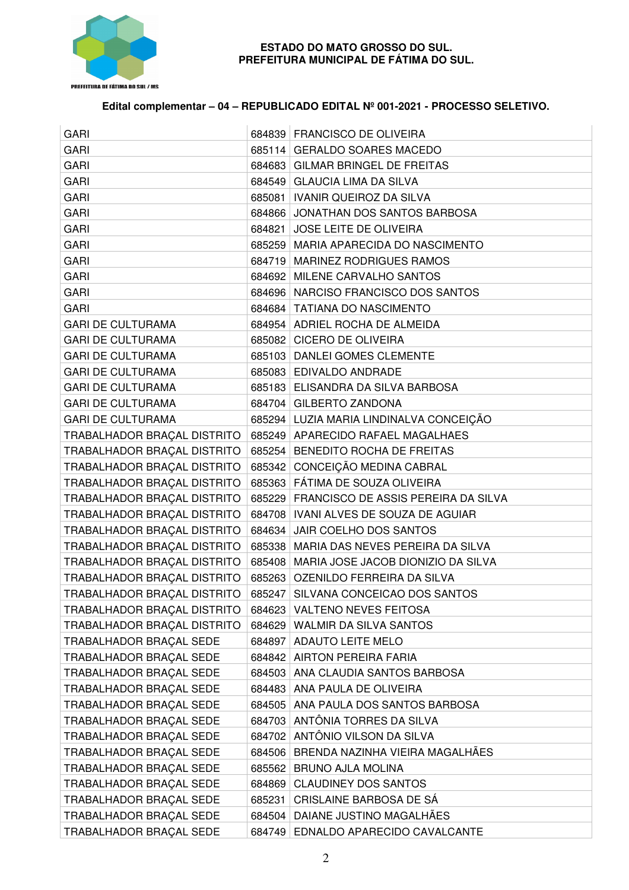

### **ESTADO DO MATO GROSSO DO SUL. PREFEITURA MUNICIPAL DE FÁTIMA DO SUL.**

# **Edital complementar – 04 – REPUBLICADO EDITAL Nº 001-2021 - PROCESSO SELETIVO.**

| <b>GARI</b>                 |        | 684839   FRANCISCO DE OLIVEIRA              |
|-----------------------------|--------|---------------------------------------------|
| <b>GARI</b>                 |        | 685114 GERALDO SOARES MACEDO                |
| <b>GARI</b>                 |        | 684683 GILMAR BRINGEL DE FREITAS            |
| <b>GARI</b>                 |        | 684549   GLAUCIA LIMA DA SILVA              |
| <b>GARI</b>                 |        | 685081   IVANIR QUEIROZ DA SILVA            |
| <b>GARI</b>                 |        | 684866 JONATHAN DOS SANTOS BARBOSA          |
| <b>GARI</b>                 |        | 684821 JOSE LEITE DE OLIVEIRA               |
| <b>GARI</b>                 |        | 685259   MARIA APARECIDA DO NASCIMENTO      |
| <b>GARI</b>                 |        | 684719   MARINEZ RODRIGUES RAMOS            |
| <b>GARI</b>                 |        | 684692 MILENE CARVALHO SANTOS               |
| <b>GARI</b>                 |        | 684696   NARCISO FRANCISCO DOS SANTOS       |
| <b>GARI</b>                 |        | 684684   TATIANA DO NASCIMENTO              |
| <b>GARI DE CULTURAMA</b>    |        | 684954 ADRIEL ROCHA DE ALMEIDA              |
| <b>GARI DE CULTURAMA</b>    |        | 685082 CICERO DE OLIVEIRA                   |
| <b>GARI DE CULTURAMA</b>    |        | 685103 DANLEI GOMES CLEMENTE                |
| <b>GARI DE CULTURAMA</b>    |        | 685083 EDIVALDO ANDRADE                     |
| <b>GARI DE CULTURAMA</b>    |        | 685183 ELISANDRA DA SILVA BARBOSA           |
| <b>GARI DE CULTURAMA</b>    |        | 684704 GILBERTO ZANDONA                     |
| <b>GARI DE CULTURAMA</b>    |        | 685294 LUZIA MARIA LINDINALVA CONCEIÇÃO     |
| TRABALHADOR BRAÇAL DISTRITO |        | 685249   APARECIDO RAFAEL MAGALHAES         |
| TRABALHADOR BRAÇAL DISTRITO |        | 685254 BENEDITO ROCHA DE FREITAS            |
| TRABALHADOR BRAÇAL DISTRITO |        | 685342 CONCEIÇÃO MEDINA CABRAL              |
| TRABALHADOR BRAÇAL DISTRITO |        | 685363 FÁTIMA DE SOUZA OLIVEIRA             |
| TRABALHADOR BRAÇAL DISTRITO |        | 685229 FRANCISCO DE ASSIS PEREIRA DA SILVA  |
| TRABALHADOR BRAÇAL DISTRITO |        | 684708   IVANI ALVES DE SOUZA DE AGUIAR     |
| TRABALHADOR BRAÇAL DISTRITO |        | 684634 JAIR COELHO DOS SANTOS               |
| TRABALHADOR BRAÇAL DISTRITO |        | 685338   MARIA DAS NEVES PEREIRA DA SILVA   |
| TRABALHADOR BRAÇAL DISTRITO |        | 685408   MARIA JOSE JACOB DIONIZIO DA SILVA |
| TRABALHADOR BRAÇAL DISTRITO |        | 685263 OZENILDO FERREIRA DA SILVA           |
| TRABALHADOR BRAÇAL DISTRITO |        | 685247 SILVANA CONCEICAO DOS SANTOS         |
| TRABALHADOR BRAÇAL DISTRITO |        | 684623 VALTENO NEVES FEITOSA                |
| TRABALHADOR BRAÇAL DISTRITO |        | 684629 WALMIR DA SILVA SANTOS               |
| TRABALHADOR BRAÇAL SEDE     |        | 684897 ADAUTO LEITE MELO                    |
| TRABALHADOR BRAÇAL SEDE     |        | 684842 AIRTON PEREIRA FARIA                 |
| TRABALHADOR BRAÇAL SEDE     |        | 684503   ANA CLAUDIA SANTOS BARBOSA         |
| TRABALHADOR BRAÇAL SEDE     |        | 684483   ANA PAULA DE OLIVEIRA              |
| TRABALHADOR BRAÇAL SEDE     |        | 684505 ANA PAULA DOS SANTOS BARBOSA         |
| TRABALHADOR BRAÇAL SEDE     |        | 684703   ANTÔNIA TORRES DA SILVA            |
| TRABALHADOR BRAÇAL SEDE     |        | 684702 ANTÔNIO VILSON DA SILVA              |
| TRABALHADOR BRAÇAL SEDE     |        | 684506 BRENDA NAZINHA VIEIRA MAGALHÃES      |
| TRABALHADOR BRAÇAL SEDE     | 685562 | <b>BRUNO AJLA MOLINA</b>                    |
| TRABALHADOR BRAÇAL SEDE     |        | 684869 CLAUDINEY DOS SANTOS                 |
| TRABALHADOR BRAÇAL SEDE     |        | 685231 CRISLAINE BARBOSA DE SÁ              |
| TRABALHADOR BRAÇAL SEDE     |        | 684504   DAIANE JUSTINO MAGALHÃES           |
| TRABALHADOR BRAÇAL SEDE     |        | 684749 EDNALDO APARECIDO CAVALCANTE         |